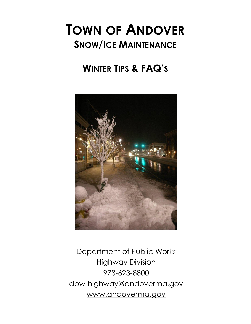### **TOWN OF ANDOVER SNOW/ICE MAINTENANCE**

### **WINTER TIPS & FAQ'S**



Department of Public Works Highway Division 978-623-8800 dpw-highway@andoverma.gov www.andoverma.gov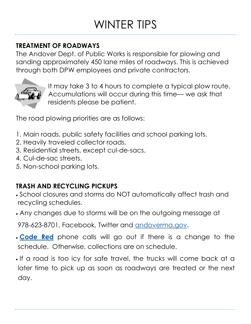# WINTER TIPS

### **TREATMENT OF ROADWAYS**

The Andover Dept. of Public Works is responsible for plowing and sanding approximately 450 lane miles of roadways. This is achieved through both DPW employees and private contractors.



It may take 3 to 4 hours to complete a typical plow route. Accumulations will occur during this time— we ask that residents please be patient.

The road plowing priorities are as follows:

- 1. Main roads, public safety facilities and school parking lots.
- 2. Heavily traveled collector roads.
- 3. Residential streets, except cul-de-sacs.
- 4. Cul-de-sac streets.
- 5. Non-school parking lots.

### **TRASH AND RECYCLING PICKUPS**

- School closures and storms do NOT automatically affect trash and recycling schedules.
- Any changes due to storms will be on the outgoing message at

978-623-8701, Facebook, Twitter and [andoverma.gov.](https://andoverma.gov/) 

- **[Code Red](https://public.coderedweb.com/CNE/en-US/BF240F568DA1)** phone calls will go out if there is a change to the schedule. Otherwise, collections are on schedule.
- . If a road is too icy for safe travel, the trucks will come back at a later time to pick up as soon as roadways are treated or the next day.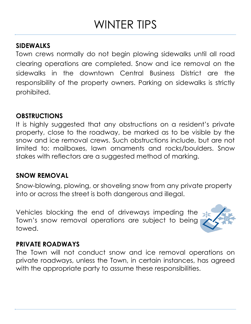# WINTER TIPS

#### **SIDEWALKS**

Town crews normally do not begin plowing sidewalks until all road clearing operations are completed. Snow and ice removal on the sidewalks in the downtown Central Business District are the responsibility of the property owners. Parking on sidewalks is strictly prohibited.

#### **OBSTRUCTIONS**

It is highly suggested that any obstructions on a resident's private property, close to the roadway, be marked as to be visible by the snow and ice removal crews. Such obstructions include, but are not limited to: mailboxes, lawn ornaments and rocks/boulders. Snow stakes with reflectors are a suggested method of marking.

#### **SNOW REMOVAL**

Snow-blowing, plowing, or shoveling snow from any private property into or across the street is both dangerous and illegal.

Vehicles blocking the end of driveways impeding the Town's snow removal operations are subject to being towed.



### **PRIVATE ROADWAYS**

The Town will not conduct snow and ice removal operations on private roadways, unless the Town, in certain instances, has agreed with the appropriate party to assume these responsibilities.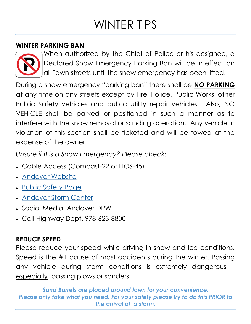# WINTER TIPS

#### **WINTER PARKING BAN**



When authorized by the Chief of Police or his designee, a Declared Snow Emergency Parking Ban will be in effect on all Town streets until the snow emergency has been lifted.

During a snow emergency "parking ban" there shall be **NO PARKING**  at any time on any streets except by Fire, Police, Public Works, other Public Safety vehicles and public utility repair vehicles. Also, NO VEHICLE shall be parked or positioned in such a manner as to interfere with the snow removal or sanding operation. Any vehicle in violation of this section shall be ticketed and will be towed at the expense of the owner.

*Unsure if it is a Snow Emergency? Please check:* 

- Cable Access (Comcast-22 or FIOS-45)
- [Andover Website](http://www.andoverma.gov)
- [Public Safety Page](https://andoverma.gov/252/Police)
- [Andover Storm Center](https://andoverma.gov/731/Storm-Center)
- Social Media, Andover DPW
- Call Highway Dept. 978-623-8800

#### **REDUCE SPEED**

Please reduce your speed while driving in snow and ice conditions. Speed is the #1 cause of most accidents during the winter. Passing any vehicle during storm conditions is extremely dangerous – especially passing plows or sanders.

*Sand Barrels are placed around town for your convenience. Please only take what you need. For your safety please try to do this PRIOR to the arrival of a storm***.**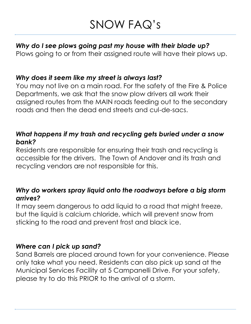## SNOW FAQ's

#### *Why do I see plows going past my house with their blade up?*

Plows going to or from their assigned route will have their plows up.

#### *Why does it seem like my street is always last?*

You may not live on a main road. For the safety of the Fire & Police Departments, we ask that the snow plow drivers all work their assigned routes from the MAIN roads feeding out to the secondary roads and then the dead end streets and cul-de-sacs.

#### *What happens if my trash and recycling gets buried under a snow bank?*

Residents are responsible for ensuring their trash and recycling is accessible for the drivers. The Town of Andover and its trash and recycling vendors are not responsible for this.

#### *Why do workers spray liquid onto the roadways before a big storm arrives?*

It may seem dangerous to add liquid to a road that might freeze, but the liquid is calcium chloride, which will prevent snow from sticking to the road and prevent frost and black ice.

#### *Where can I pick up sand?*

Sand Barrels are placed around town for your convenience. Please only take what you need. Residents can also pick up sand at the Municipal Services Facility at 5 Campanelli Drive. For your safety, please try to do this PRIOR to the arrival of a storm.